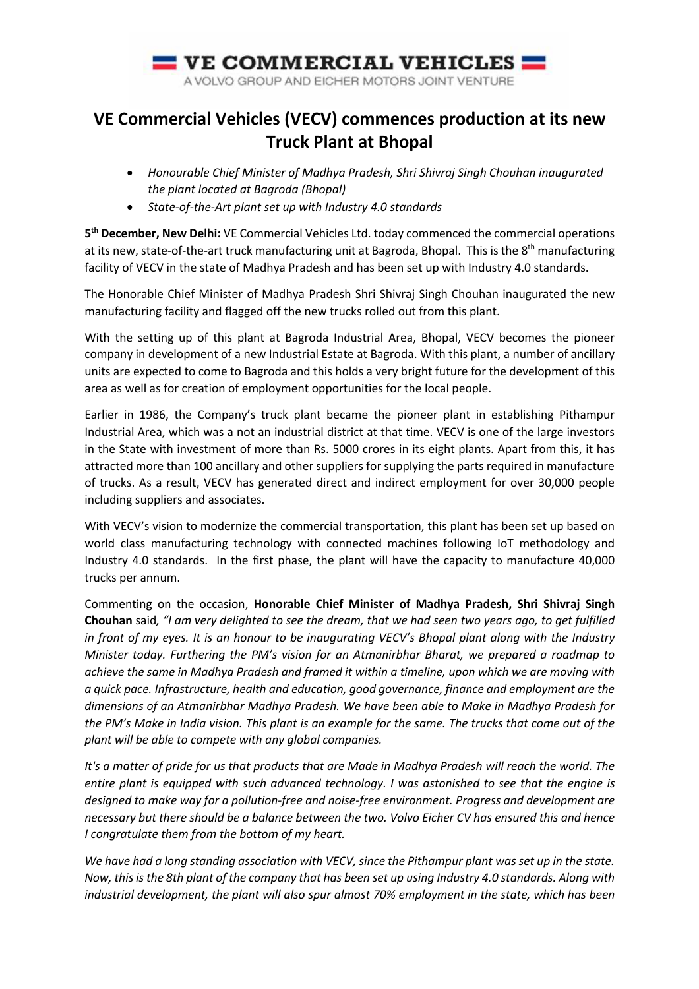

## **VE Commercial Vehicles (VECV) commences production at its new Truck Plant at Bhopal**

- *Honourable Chief Minister of Madhya Pradesh, Shri Shivraj Singh Chouhan inaugurated the plant located at Bagroda (Bhopal)*
- *State-of-the-Art plant set up with Industry 4.0 standards*

**5th December, New Delhi:** VE Commercial Vehicles Ltd. today commenced the commercial operations at its new, state-of-the-art truck manufacturing unit at Bagroda, Bhopal. This is the  $8<sup>th</sup>$  manufacturing facility of VECV in the state of Madhya Pradesh and has been set up with Industry 4.0 standards.

The Honorable Chief Minister of Madhya Pradesh Shri Shivraj Singh Chouhan inaugurated the new manufacturing facility and flagged off the new trucks rolled out from this plant.

With the setting up of this plant at Bagroda Industrial Area, Bhopal, VECV becomes the pioneer company in development of a new Industrial Estate at Bagroda. With this plant, a number of ancillary units are expected to come to Bagroda and this holds a very bright future for the development of this area as well as for creation of employment opportunities for the local people.

Earlier in 1986, the Company's truck plant became the pioneer plant in establishing Pithampur Industrial Area, which was a not an industrial district at that time. VECV is one of the large investors in the State with investment of more than Rs. 5000 crores in its eight plants. Apart from this, it has attracted more than 100 ancillary and other suppliers for supplying the parts required in manufacture of trucks. As a result, VECV has generated direct and indirect employment for over 30,000 people including suppliers and associates.

With VECV's vision to modernize the commercial transportation, this plant has been set up based on world class manufacturing technology with connected machines following IoT methodology and Industry 4.0 standards. In the first phase, the plant will have the capacity to manufacture 40,000 trucks per annum.

Commenting on the occasion, **Honorable Chief Minister of Madhya Pradesh, Shri Shivraj Singh Chouhan** said*, "I am very delighted to see the dream, that we had seen two years ago, to get fulfilled in front of my eyes. It is an honour to be inaugurating VECV's Bhopal plant along with the Industry Minister today. Furthering the PM's vision for an Atmanirbhar Bharat, we prepared a roadmap to achieve the same in Madhya Pradesh and framed it within a timeline, upon which we are moving with a quick pace. Infrastructure, health and education, good governance, finance and employment are the dimensions of an Atmanirbhar Madhya Pradesh. We have been able to Make in Madhya Pradesh for the PM's Make in India vision. This plant is an example for the same. The trucks that come out of the plant will be able to compete with any global companies.*

*It's a matter of pride for us that products that are Made in Madhya Pradesh will reach the world. The entire plant is equipped with such advanced technology. I was astonished to see that the engine is designed to make way for a pollution-free and noise-free environment. Progress and development are necessary but there should be a balance between the two. Volvo Eicher CV has ensured this and hence I congratulate them from the bottom of my heart.*

*We have had a long standing association with VECV, since the Pithampur plant was set up in the state. Now, this is the 8th plant of the company that has been set up using Industry 4.0 standards. Along with industrial development, the plant will also spur almost 70% employment in the state, which has been*